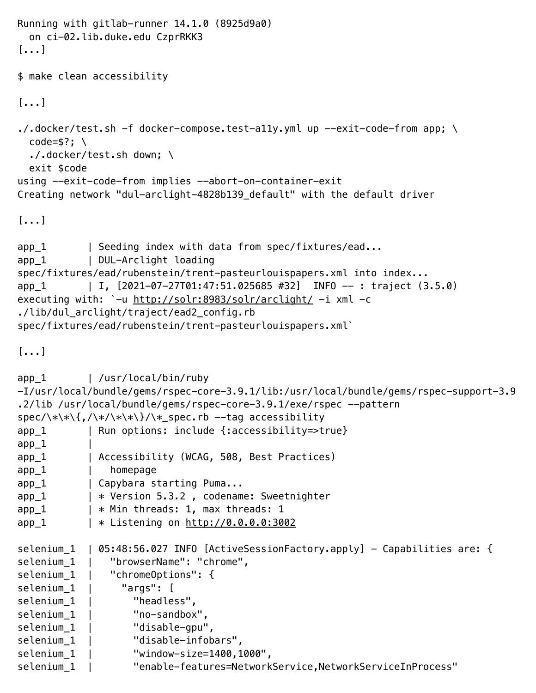```
Running with gitlab-runner 14.1.0 (8925d9a0)
  on ci-02.lib.duke.edu CzprRKK3
[...]
$ make clean accessibility
[...]
\cdot/.docker/test.sh -f docker-compose.test-ally.yml up --exit-code-from app; \
 code=$?; \
  ./.docker/test.sh down; \
  exit $code
using --exit-code-from implies --abort-on-container-exit
Creating network "dul-arclight-4828b139_default" with the default driver
[...]
app_1 | Seeding index with data from spec/fixtures/ead...
app_1 | DUL-Arclight loading
spec/fixtures/ead/rubenstein/trent-pasteurlouispapers.xml into index...
app_1 | I, [2021-07-27T01:47:51.025685 #32] INFO -- : traject (3.5.0)
executing with: `-u http://solr:8983/solr/arclight/ -i xml -c
./lib/dul_arclight/traject/ead2_config.rb 
spec/fixtures/ead/rubenstein/trent-pasteurlouispapers.xml`
[...]
app_1 | /usr/local/bin/ruby
-I/usr/local/bundle/gems/rspec-core-3.9.1/lib:/usr/local/bundle/gems/rspec-support-3.9
.2/lib /usr/local/bundle/gems/rspec-core-3.9.1/exe/rspec --pattern 
spec/\\*\\{,/\*/\*\*\}/\*_spec.rb --tag accessibility
app_1 | Run options: include {:accessibility=>true}
app_1app_1 | Accessibility (WCAG, 508, Best Practices)
app_1 | homepage
app_1 | Capybara starting Puma...
app_1 | * Version 5.3.2, codename: Sweetnighter
app_1 | * Min threads: 1, max threads: 1
app_1 | * Listening on http://0.0.0.0:3002
selenium 1 | 05:48:56.027 INFO [ActiveSessionFactory.apply] - Capabilities are: {
selenium_1 | "browserName": "chrome",
selenium_1 | "chromeOptions": {
selenium 1 | "args": [
selenium<sub>1</sub> | "headless",
selenium_1 | "no-sandbox",
selenium_1 | "disable-gpu",
selenium_1 | "disable-infobars",
selenium_1 | "window-size=1400,1000",
selenium_1 | "enable-features=NetworkService,NetworkServiceInProcess"
```